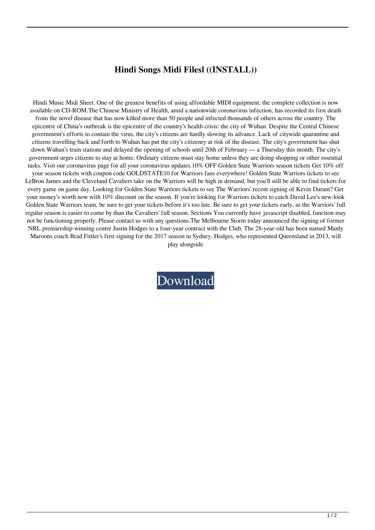## **Hindi Songs Midi Filesl ((INSTALL))**

Hindi Music Midi Sheet. One of the greatest benefits of using affordable MIDI equipment. the complete collection is now available on CD-ROM.The Chinese Ministry of Health, amid a nationwide coronavirus infection, has recorded its first death from the novel disease that has now killed more than 50 people and infected thousands of others across the country. The epicentre of China's outbreak is the epicentre of the country's health crisis: the city of Wuhan. Despite the Central Chinese government's efforts to contain the virus, the city's citizens are hardly slowing its advance. Lack of citywide quarantine and citizens travelling back and forth to Wuhan has put the city's citizenry at risk of the disease. The city's government has shut down Wuhan's train stations and delayed the opening of schools until 20th of February — a Thursday this month. The city's government urges citizens to stay at home. Ordinary citizens must stay home unless they are doing shopping or other essential tasks. Visit our coronavirus page for all your coronavirus updates.10% OFF Golden State Warriors season tickets Get 10% off your season tickets with coupon code GOLDSTATE10 for Warriors fans everywhere! Golden State Warriors tickets to see LeBron James and the Cleveland Cavaliers take on the Warriors will be high in demand, but you'll still be able to find tickets for every game on game day. Looking for Golden State Warriors tickets to see The Warriors' recent signing of Kevin Durant? Get your money's worth now with 10% discount on the season. If you're looking for Warriors tickets to catch David Lee's new-look Golden State Warriors team, be sure to get your tickets before it's too late. Be sure to get your tickets early, as the Warriors' full regular season is easier to come by than the Cavaliers' full season. Sections You currently have javascript disabled, function may not be functioning properly. Please contact us with any questions.The Melbourne Storm today announced the signing of former NRL premiership-winning centre Justin Hodges to a four-year contract with the Club. The 28-year-old has been named Manly Maroons coach Brad Fittler's first signing for the 2017 season in Sydney. Hodges, who represented Queensland in 2013, will

play alongside